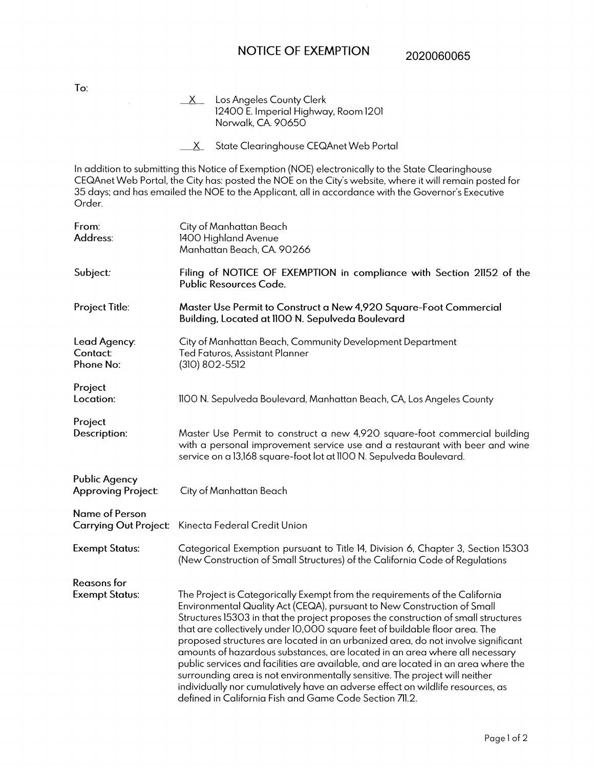## NOTICE OF EXEMPTION

2020060065

 $X$  Los Angeles County Clerk 12400 E. Imperial Highway, Room 1201 Norwalk, CA 90650

X State Clearinghouse CEQAnet Web Portal

In addition to submitting this Notice of Exemption (NOE) electronically to the State Clearinghouse CEQAnet Web Portal, the City has: posted the NOE on the City's website, where it will remain posted for 35 days; and has emailed the NOE to the Applicant, all in accordance with the Governor's Executive Order.

| From:<br>Address:                                 | City of Manhattan Beach<br>1400 Highland Avenue<br>Manhattan Beach, CA. 90266                                                                                                                                                                                                                                                                                                                                                                                                                                                                                                                                                                                                                                                                                                                                    |
|---------------------------------------------------|------------------------------------------------------------------------------------------------------------------------------------------------------------------------------------------------------------------------------------------------------------------------------------------------------------------------------------------------------------------------------------------------------------------------------------------------------------------------------------------------------------------------------------------------------------------------------------------------------------------------------------------------------------------------------------------------------------------------------------------------------------------------------------------------------------------|
| Subject:                                          | Filing of NOTICE OF EXEMPTION in compliance with Section 21152 of the<br><b>Public Resources Code.</b>                                                                                                                                                                                                                                                                                                                                                                                                                                                                                                                                                                                                                                                                                                           |
| Project Title:                                    | Master Use Permit to Construct a New 4,920 Square-Foot Commercial<br>Building, Located at IIOO N. Sepulveda Boulevard                                                                                                                                                                                                                                                                                                                                                                                                                                                                                                                                                                                                                                                                                            |
| Lead Agency:<br><b>Contact:</b><br>Phone No:      | City of Manhattan Beach, Community Development Department<br>Ted Faturos, Assistant Planner<br>(310) 802-5512                                                                                                                                                                                                                                                                                                                                                                                                                                                                                                                                                                                                                                                                                                    |
| Project<br>Location:                              | 1100 N. Sepulveda Boulevard, Manhattan Beach, CA, Los Angeles County                                                                                                                                                                                                                                                                                                                                                                                                                                                                                                                                                                                                                                                                                                                                             |
| Project<br>Description:                           | Master Use Permit to construct a new 4,920 square-foot commercial building<br>with a personal improvement service use and a restaurant with beer and wine<br>service on a 13,168 square-foot lot at 1100 N. Sepulveda Boulevard.                                                                                                                                                                                                                                                                                                                                                                                                                                                                                                                                                                                 |
| <b>Public Agency</b><br><b>Approving Project:</b> | City of Manhattan Beach                                                                                                                                                                                                                                                                                                                                                                                                                                                                                                                                                                                                                                                                                                                                                                                          |
| <b>Name of Person</b>                             | Carrying Out Project: Kinecta Federal Credit Union                                                                                                                                                                                                                                                                                                                                                                                                                                                                                                                                                                                                                                                                                                                                                               |
| <b>Exempt Status:</b>                             | Categorical Exemption pursuant to Title 14, Division 6, Chapter 3, Section 15303<br>(New Construction of Small Structures) of the California Code of Regulations                                                                                                                                                                                                                                                                                                                                                                                                                                                                                                                                                                                                                                                 |
| <b>Reasons</b> for<br><b>Exempt Status:</b>       | The Project is Categorically Exempt from the requirements of the California<br>Environmental Quality Act (CEQA), pursuant to New Construction of Small<br>Structures 15303 in that the project proposes the construction of small structures<br>that are collectively under 10,000 square feet of buildable floor area. The<br>proposed structures are located in an urbanized area, do not involve significant<br>amounts of hazardous substances, are located in an area where all necessary<br>public services and facilities are available, and are located in an area where the<br>surrounding area is not environmentally sensitive. The project will neither<br>individually nor cumulatively have an adverse effect on wildlife resources, as<br>defined in California Fish and Game Code Section 711.2. |

To: